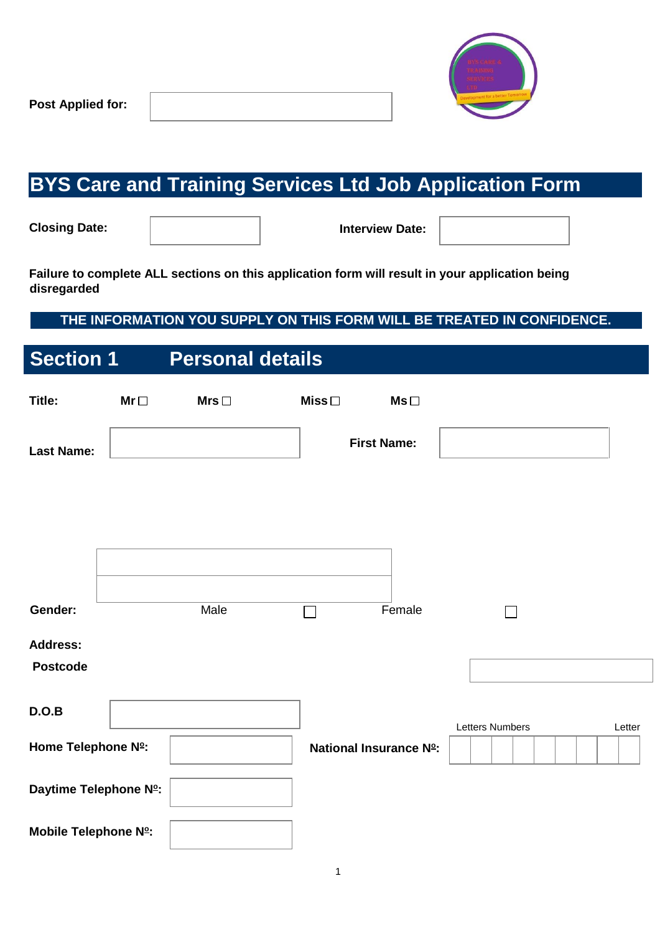

# **BYS Care and Training Services Ltd Job Application Form**

**Closing Date:** 

**Interview Date:**

**Failure to complete ALL sections on this application form will result in your application being disregarded** 

### **THE INFORMATION YOU SUPPLY ON THIS FORM WILL BE TREATED IN CONFIDENCE.**

| <b>Section 1</b>            |           | <b>Personal details</b> |             |                               |                        |        |
|-----------------------------|-----------|-------------------------|-------------|-------------------------------|------------------------|--------|
| Title:                      | $Mr \Box$ | $Mrs$ $\square$         | Miss $\Box$ | $Ms \Box$                     |                        |        |
| <b>Last Name:</b>           |           |                         |             | <b>First Name:</b>            |                        |        |
|                             |           |                         |             |                               |                        |        |
|                             |           |                         |             |                               |                        |        |
| Gender:                     |           | Male                    |             | Female                        |                        |        |
| <b>Address:</b><br>Postcode |           |                         |             |                               |                        |        |
| D.O.B                       |           |                         |             |                               | <b>Letters Numbers</b> | Letter |
| Home Telephone Nº:          |           |                         |             | <b>National Insurance Nº:</b> |                        |        |
| Daytime Telephone Nº:       |           |                         |             |                               |                        |        |
| Mobile Telephone Nº:        |           |                         |             |                               |                        |        |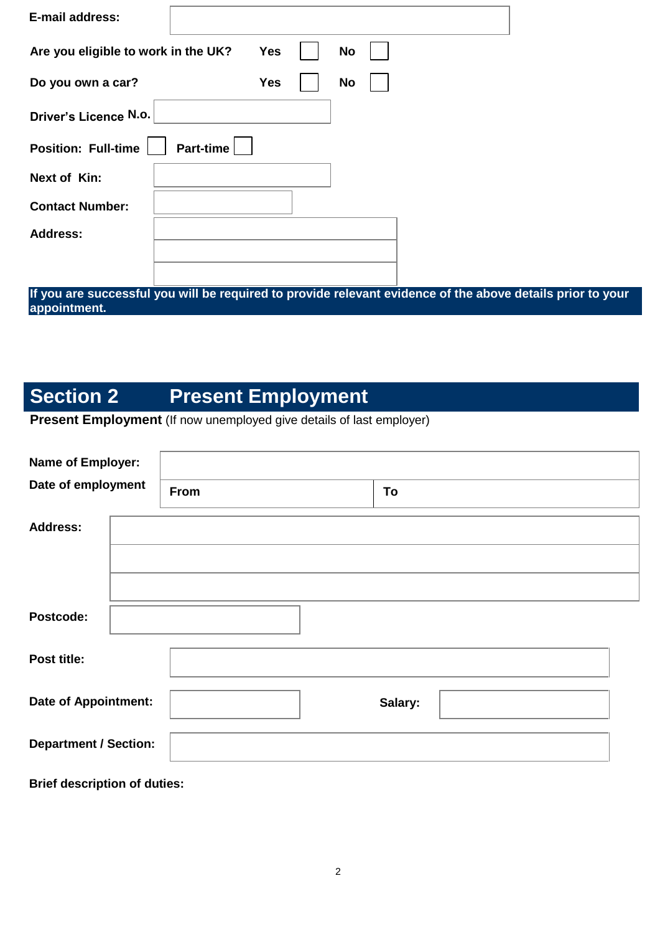| <b>E-mail address:</b>                  |            |           |  |
|-----------------------------------------|------------|-----------|--|
| Are you eligible to work in the UK?     | <b>Yes</b> | <b>No</b> |  |
| Do you own a car?                       | <b>Yes</b> | <b>No</b> |  |
| Driver's Licence N.o.                   |            |           |  |
| Part-time<br><b>Position: Full-time</b> |            |           |  |
| Next of Kin:                            |            |           |  |
| <b>Contact Number:</b>                  |            |           |  |
| <b>Address:</b>                         |            |           |  |
|                                         |            |           |  |
|                                         |            |           |  |

**If you are successful you will be required to provide relevant evidence of the above details prior to your appointment.** 

# **Section 2** Present Employment

## **Present Employment** (If now unemployed give details of last employer)

| Name of Employer:            |             |         |
|------------------------------|-------------|---------|
| Date of employment           | <b>From</b> | To      |
| <b>Address:</b>              |             |         |
|                              |             |         |
|                              |             |         |
| Postcode:                    |             |         |
| Post title:                  |             |         |
| <b>Date of Appointment:</b>  |             | Salary: |
| <b>Department / Section:</b> |             |         |

**Brief description of duties:**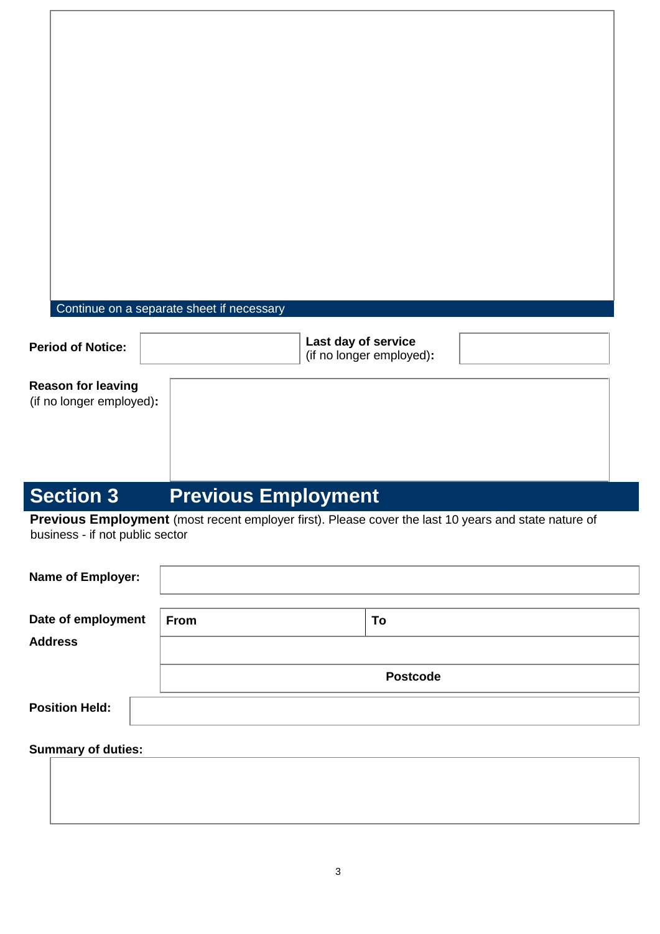### Continue on a separate sheet if necessary

| <b>Period of Notice:</b>                              | Last day of service<br>(if no longer employed): |  |
|-------------------------------------------------------|-------------------------------------------------|--|
| <b>Reason for leaving</b><br>(if no longer employed): |                                                 |  |

# **Section 3** Previous Employment

**Previous Employment** (most recent employer first). Please cover the last 10 years and state nature of business - if not public sector

| Name of Employer:     |      |                 |  |
|-----------------------|------|-----------------|--|
|                       |      |                 |  |
| Date of employment    | From | To              |  |
| <b>Address</b>        |      |                 |  |
|                       |      | <b>Postcode</b> |  |
| <b>Position Held:</b> |      |                 |  |
|                       |      |                 |  |

### **Summary of duties:**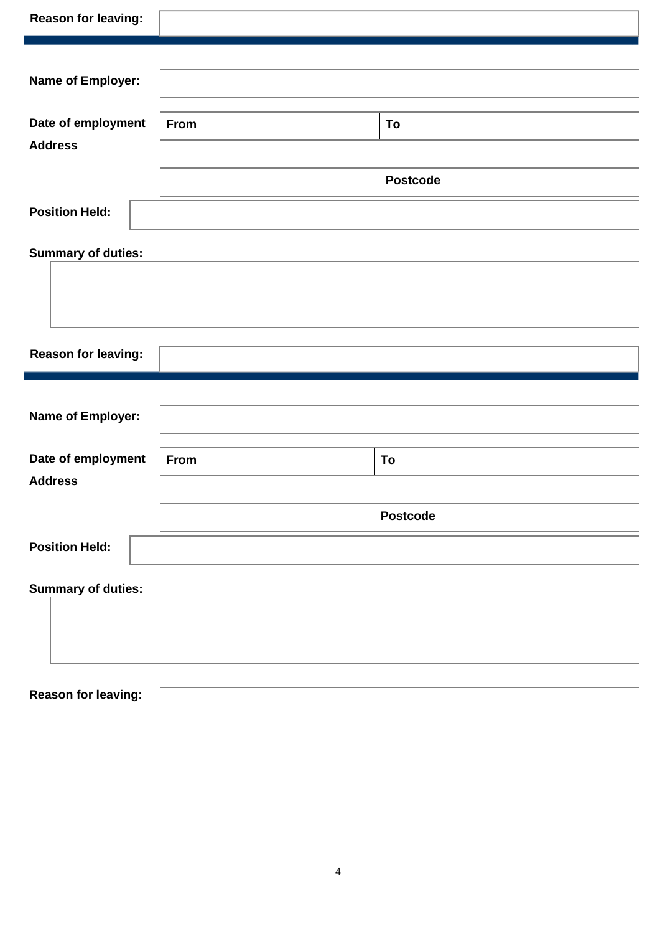| <b>Reason for leaving:</b>           |      |                 |
|--------------------------------------|------|-----------------|
|                                      |      |                 |
| Name of Employer:                    |      |                 |
| Date of employment                   | From | To              |
| <b>Address</b>                       |      |                 |
|                                      |      | <b>Postcode</b> |
| <b>Position Held:</b>                |      |                 |
| <b>Summary of duties:</b>            |      |                 |
|                                      |      |                 |
|                                      |      |                 |
| <b>Reason for leaving:</b>           |      |                 |
|                                      |      |                 |
| Name of Employer:                    |      |                 |
|                                      |      |                 |
| Date of employment<br><b>Address</b> | From | To              |
|                                      |      |                 |
|                                      |      | <b>Postcode</b> |
| <b>Position Held:</b>                |      |                 |
| <b>Summary of duties:</b>            |      |                 |
|                                      |      |                 |
|                                      |      |                 |
|                                      |      |                 |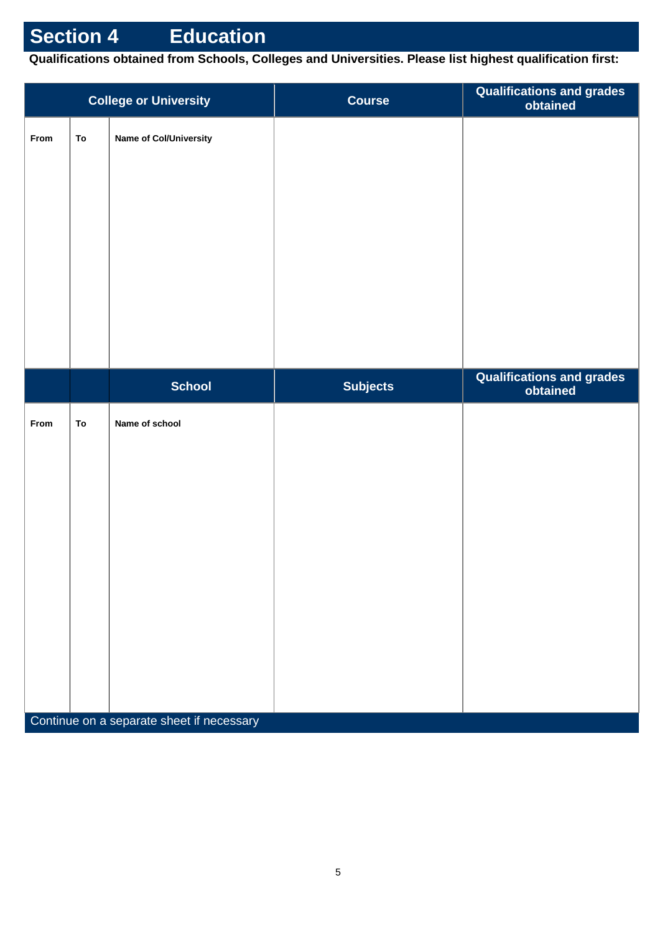**Qualifications obtained from Schools, Colleges and Universities. Please list highest qualification first:** 

| <b>College or University</b> |    |                                           | <b>Course</b>   | Qualifications and grades<br>obtained        |
|------------------------------|----|-------------------------------------------|-----------------|----------------------------------------------|
| From                         | To | Name of Col/University                    |                 |                                              |
|                              |    |                                           |                 |                                              |
|                              |    |                                           |                 |                                              |
|                              |    |                                           |                 |                                              |
|                              |    |                                           |                 |                                              |
|                              |    |                                           |                 |                                              |
|                              |    |                                           |                 |                                              |
|                              |    | <b>School</b>                             | <b>Subjects</b> | <b>Qualifications and grades</b><br>obtained |
| From                         | To | Name of school                            |                 |                                              |
|                              |    |                                           |                 |                                              |
|                              |    |                                           |                 |                                              |
|                              |    |                                           |                 |                                              |
|                              |    |                                           |                 |                                              |
|                              |    |                                           |                 |                                              |
|                              |    |                                           |                 |                                              |
|                              |    |                                           |                 |                                              |
|                              |    | Continue on a separate sheet if necessary |                 |                                              |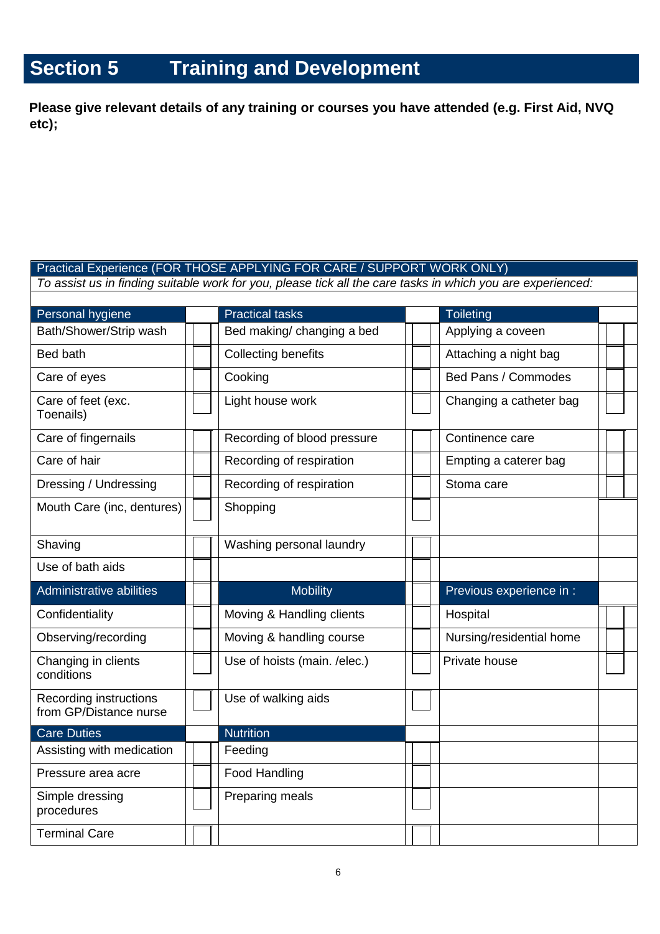# **Section 5 Training and Development**

**Please give relevant details of any training or courses you have attended (e.g. First Aid, NVQ etc);** 

|                                                  | Practical Experience (FOR THOSE APPLYING FOR CARE / SUPPORT WORK ONLY)                                      |  |  |                          |  |
|--------------------------------------------------|-------------------------------------------------------------------------------------------------------------|--|--|--------------------------|--|
|                                                  | To assist us in finding suitable work for you, please tick all the care tasks in which you are experienced: |  |  |                          |  |
|                                                  |                                                                                                             |  |  |                          |  |
| Personal hygiene                                 | <b>Practical tasks</b>                                                                                      |  |  | <b>Toileting</b>         |  |
| Bath/Shower/Strip wash                           | Bed making/ changing a bed                                                                                  |  |  | Applying a coveen        |  |
| Bed bath                                         | <b>Collecting benefits</b>                                                                                  |  |  | Attaching a night bag    |  |
| Care of eyes                                     | Cooking                                                                                                     |  |  | Bed Pans / Commodes      |  |
| Care of feet (exc.<br>Toenails)                  | Light house work                                                                                            |  |  | Changing a catheter bag  |  |
| Care of fingernails                              | Recording of blood pressure                                                                                 |  |  | Continence care          |  |
| Care of hair                                     | Recording of respiration                                                                                    |  |  | Empting a caterer bag    |  |
| Dressing / Undressing                            | Recording of respiration                                                                                    |  |  | Stoma care               |  |
| Mouth Care (inc, dentures)                       | Shopping                                                                                                    |  |  |                          |  |
| Shaving                                          | Washing personal laundry                                                                                    |  |  |                          |  |
| Use of bath aids                                 |                                                                                                             |  |  |                          |  |
| Administrative abilities                         | <b>Mobility</b>                                                                                             |  |  | Previous experience in : |  |
| Confidentiality                                  | Moving & Handling clients                                                                                   |  |  | Hospital                 |  |
| Observing/recording                              | Moving & handling course                                                                                    |  |  | Nursing/residential home |  |
| Changing in clients<br>conditions                | Use of hoists (main. /elec.)                                                                                |  |  | Private house            |  |
| Recording instructions<br>from GP/Distance nurse | Use of walking aids                                                                                         |  |  |                          |  |
| <b>Care Duties</b>                               | <b>Nutrition</b>                                                                                            |  |  |                          |  |
| Assisting with medication                        | Feeding                                                                                                     |  |  |                          |  |
| Pressure area acre                               | <b>Food Handling</b>                                                                                        |  |  |                          |  |
| Simple dressing<br>procedures                    | Preparing meals                                                                                             |  |  |                          |  |
| <b>Terminal Care</b>                             |                                                                                                             |  |  |                          |  |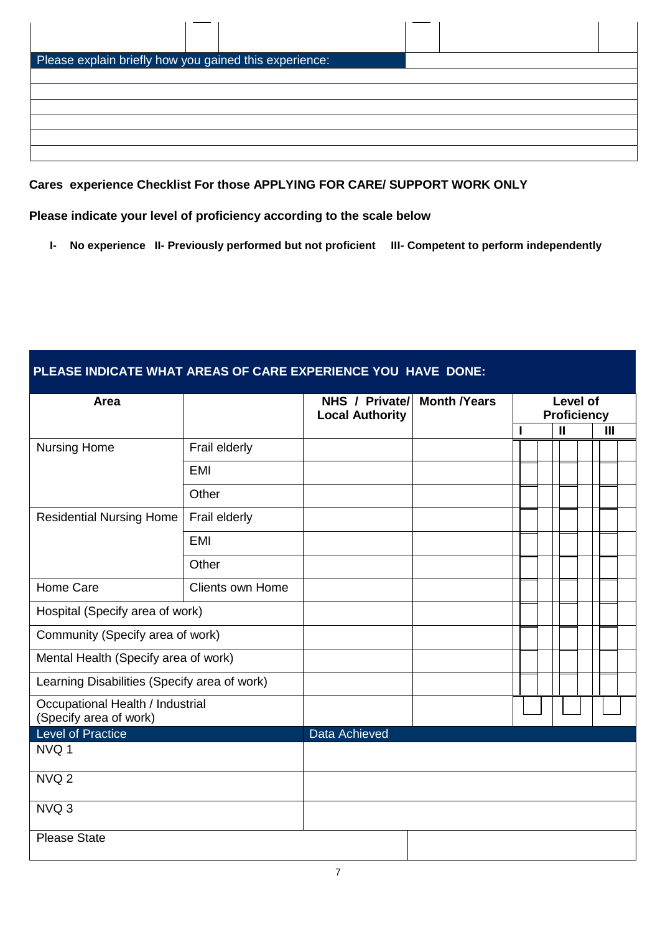| Please explain briefly how you gained this experience: |  |  |
|--------------------------------------------------------|--|--|
|                                                        |  |  |
|                                                        |  |  |
|                                                        |  |  |
|                                                        |  |  |
|                                                        |  |  |
|                                                        |  |  |

**Cares experience Checklist For those APPLYING FOR CARE/ SUPPORT WORK ONLY** 

#### **Please indicate your level of proficiency according to the scale below**

**I- No experience II- Previously performed but not proficient III- Competent to perform independently** 

### **PLEASE INDICATE WHAT AREAS OF CARE EXPERIENCE YOU HAVE DONE:**

| Area                                                       |                         | NHS / Private/<br><b>Local Authority</b> | <b>Month /Years</b> |   | Level of<br><b>Proficiency</b> |              |
|------------------------------------------------------------|-------------------------|------------------------------------------|---------------------|---|--------------------------------|--------------|
|                                                            |                         |                                          |                     | I | $\mathbf{I}$                   | $\mathbf{H}$ |
| <b>Nursing Home</b>                                        | Frail elderly           |                                          |                     |   |                                |              |
|                                                            | <b>EMI</b>              |                                          |                     |   |                                |              |
|                                                            | Other                   |                                          |                     |   |                                |              |
| <b>Residential Nursing Home</b>                            | Frail elderly           |                                          |                     |   |                                |              |
|                                                            | <b>EMI</b>              |                                          |                     |   |                                |              |
|                                                            | Other                   |                                          |                     |   |                                |              |
| Home Care                                                  | <b>Clients own Home</b> |                                          |                     |   |                                |              |
| Hospital (Specify area of work)                            |                         |                                          |                     |   |                                |              |
| Community (Specify area of work)                           |                         |                                          |                     |   |                                |              |
| Mental Health (Specify area of work)                       |                         |                                          |                     |   |                                |              |
| Learning Disabilities (Specify area of work)               |                         |                                          |                     |   |                                |              |
| Occupational Health / Industrial<br>(Specify area of work) |                         |                                          |                     |   |                                |              |
| <b>Level of Practice</b>                                   |                         | Data Achieved                            |                     |   |                                |              |
| NVQ 1                                                      |                         |                                          |                     |   |                                |              |
| NVQ <sub>2</sub>                                           |                         |                                          |                     |   |                                |              |
| NVQ 3                                                      |                         |                                          |                     |   |                                |              |
| <b>Please State</b>                                        |                         |                                          |                     |   |                                |              |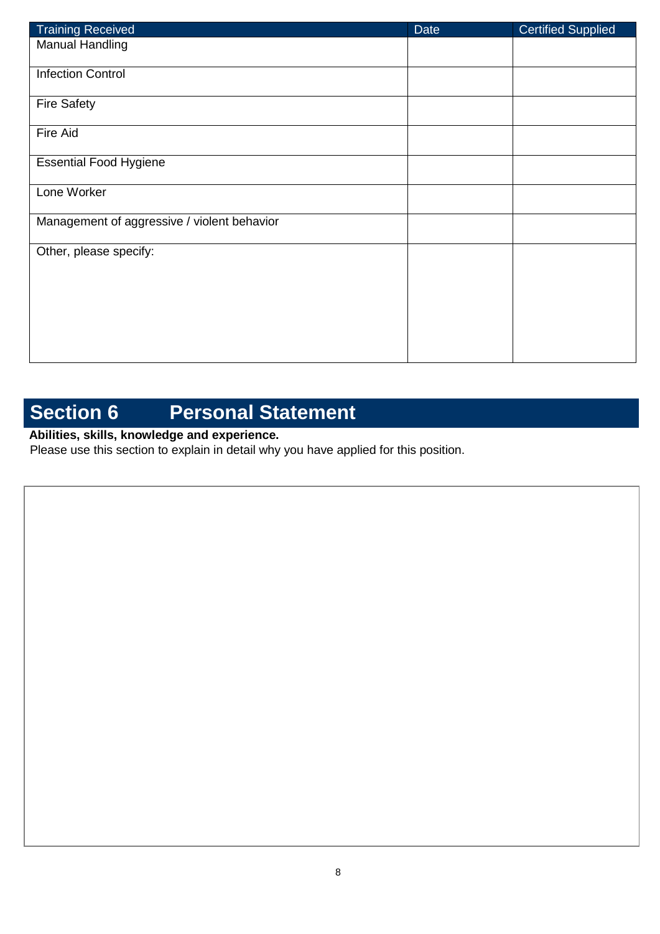| <b>Training Received</b>                    | Date | <b>Certified Supplied</b> |
|---------------------------------------------|------|---------------------------|
| <b>Manual Handling</b>                      |      |                           |
| <b>Infection Control</b>                    |      |                           |
| <b>Fire Safety</b>                          |      |                           |
| Fire Aid                                    |      |                           |
| <b>Essential Food Hygiene</b>               |      |                           |
| Lone Worker                                 |      |                           |
| Management of aggressive / violent behavior |      |                           |
| Other, please specify:                      |      |                           |
|                                             |      |                           |
|                                             |      |                           |
|                                             |      |                           |

# **Section 6 Personal Statement**

## **Abilities, skills, knowledge and experience.**

Please use this section to explain in detail why you have applied for this position.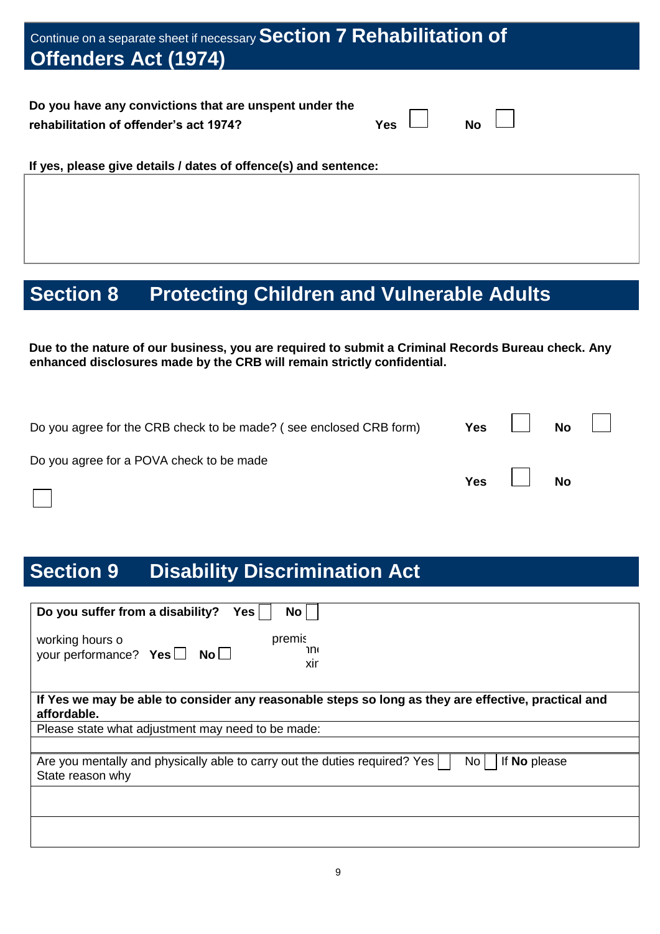| Continue on a separate sheet if necessary Section 7 Rehabilitation of<br><b>Offenders Act (1974)</b>                        |
|-----------------------------------------------------------------------------------------------------------------------------|
| Do you have any convictions that are unspent under the<br><b>Yes</b><br><b>No</b><br>rehabilitation of offender's act 1974? |
| If yes, please give details / dates of offence(s) and sentence:                                                             |

# **Section 8 Protecting Children and Vulnerable Adults**

**Due to the nature of our business, you are required to submit a Criminal Records Bureau check. Any enhanced disclosures made by the CRB will remain strictly confidential.** 

| Do you agree for the CRB check to be made? (see enclosed CRB form) | Yes $\Box$      | No $\Box$ |  |
|--------------------------------------------------------------------|-----------------|-----------|--|
| Do you agree for a POVA check to be made                           | $Yes$ $\Box$ No |           |  |
|                                                                    |                 |           |  |

## **Section 9 Disability Discrimination Act**

| Do you suffer from a disability?<br>Yes  <br><b>No</b>                                                                 |
|------------------------------------------------------------------------------------------------------------------------|
| premis<br>working hours o<br>וחר<br>your performance? Yes $\Box$ No $\Box$<br>xir                                      |
| If Yes we may be able to consider any reasonable steps so long as they are effective, practical and<br>affordable.     |
| Please state what adjustment may need to be made:                                                                      |
|                                                                                                                        |
| Are you mentally and physically able to carry out the duties required? Yes<br>No l<br>If No please<br>State reason why |
|                                                                                                                        |
|                                                                                                                        |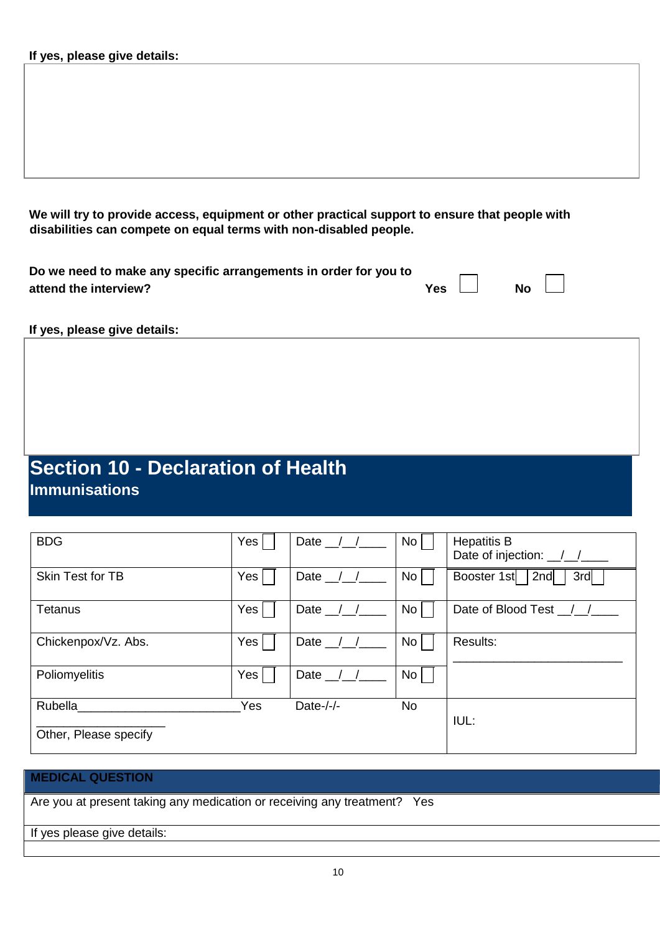**We will try to provide access, equipment or other practical support to ensure that people with disabilities can compete on equal terms with non-disabled people.**

| Do we need to make any specific arrangements in order for you to |            |           |  |
|------------------------------------------------------------------|------------|-----------|--|
| attend the interview?                                            | Yes $\Box$ | <b>No</b> |  |

**If yes, please give details:** 

## **Section 10 - Declaration of Health Immunisations**

| <b>BDG</b>            | Yes | Date $\frac{1}{2}$ | N <sub>o</sub>  | <b>Hepatitis B</b><br>Date of injection: /// |
|-----------------------|-----|--------------------|-----------------|----------------------------------------------|
| Skin Test for TB      | Yes | Date $\angle$      | No <sub>1</sub> | Booster 1st<br>2nd<br>3rd                    |
| Tetanus               | Yes | Date               | No <sub>1</sub> | Date of Blood Test _/_/                      |
| Chickenpox/Vz. Abs.   | Yes | Date $\angle$      | No <sub>1</sub> | Results:                                     |
| Poliomyelitis         | Yes | Date $\_\$         | No <sub>1</sub> |                                              |
| Rubella               | Yes | Date- $/-/$        | No              | IUL:                                         |
| Other, Please specify |     |                    |                 |                                              |

#### **MEDICAL QUESTION**

Are you at present taking any medication or receiving any treatment? Yes

If yes please give details: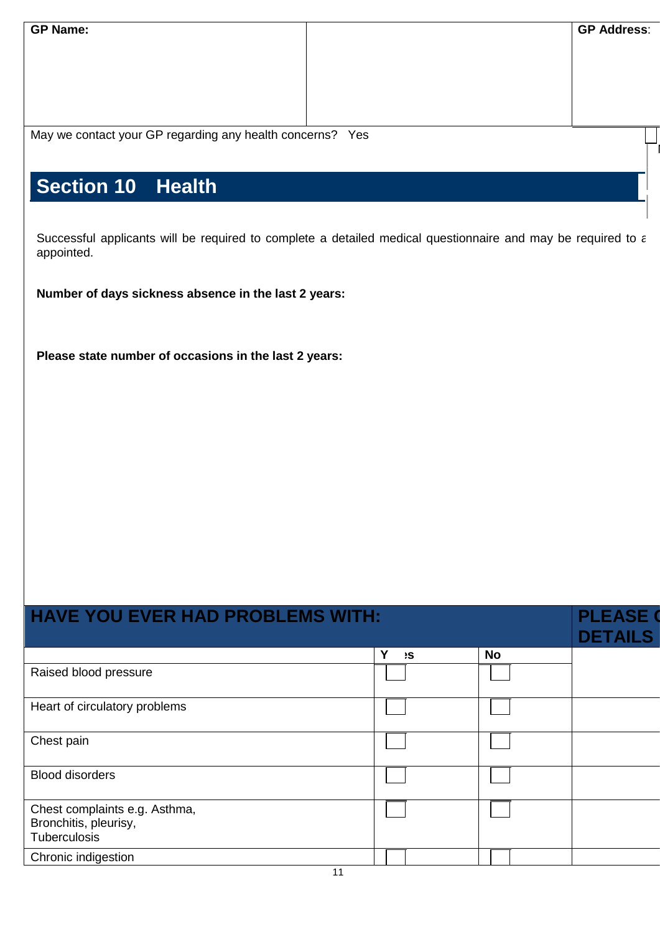| <b>GP Name:</b>                                           | <b>GP Address:</b> |
|-----------------------------------------------------------|--------------------|
|                                                           |                    |
| May we contact your GP regarding any health concerns? Yes |                    |
| Section 10 Health                                         |                    |

Successful applicants will be required to complete a detailed medical questionnaire and may be required to a appointed.

**Number of days sickness absence in the last 2 years:** 

**Please state number of occasions in the last 2 years:** 

| <b>HAVE YOU EVER HAD PROBLEMS WITH:</b>                                |          | <b>PLEASE</b><br><b>DETAILS</b> |  |
|------------------------------------------------------------------------|----------|---------------------------------|--|
|                                                                        | Υ<br>۱S. | <b>No</b>                       |  |
| Raised blood pressure                                                  |          |                                 |  |
| Heart of circulatory problems                                          |          |                                 |  |
| Chest pain                                                             |          |                                 |  |
| <b>Blood disorders</b>                                                 |          |                                 |  |
| Chest complaints e.g. Asthma,<br>Bronchitis, pleurisy,<br>Tuberculosis |          |                                 |  |
| Chronic indigestion<br>$\sim$                                          |          |                                 |  |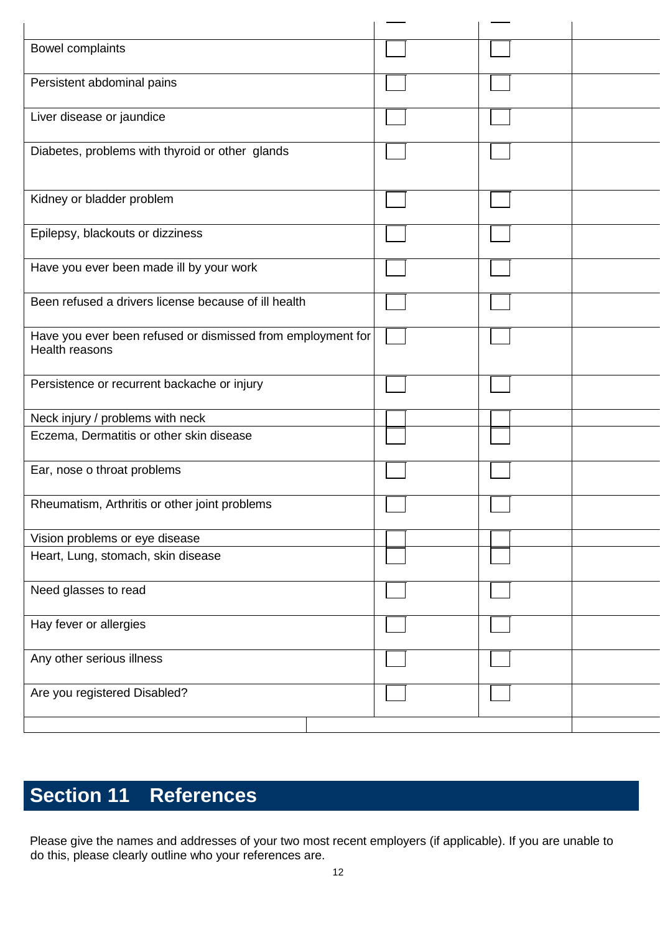| Bowel complaints                                                              |  |  |
|-------------------------------------------------------------------------------|--|--|
| Persistent abdominal pains                                                    |  |  |
| Liver disease or jaundice                                                     |  |  |
| Diabetes, problems with thyroid or other glands                               |  |  |
| Kidney or bladder problem                                                     |  |  |
| Epilepsy, blackouts or dizziness                                              |  |  |
| Have you ever been made ill by your work                                      |  |  |
| Been refused a drivers license because of ill health                          |  |  |
| Have you ever been refused or dismissed from employment for<br>Health reasons |  |  |
| Persistence or recurrent backache or injury                                   |  |  |
| Neck injury / problems with neck                                              |  |  |
| Eczema, Dermatitis or other skin disease                                      |  |  |
| Ear, nose o throat problems                                                   |  |  |
| Rheumatism, Arthritis or other joint problems                                 |  |  |
| Vision problems or eye disease                                                |  |  |
| Heart, Lung, stomach, skin disease                                            |  |  |
| Need glasses to read                                                          |  |  |
| Hay fever or allergies                                                        |  |  |
| Any other serious illness                                                     |  |  |
| Are you registered Disabled?                                                  |  |  |
|                                                                               |  |  |

# **Section 11 References**

Please give the names and addresses of your two most recent employers (if applicable). If you are unable to do this, please clearly outline who your references are.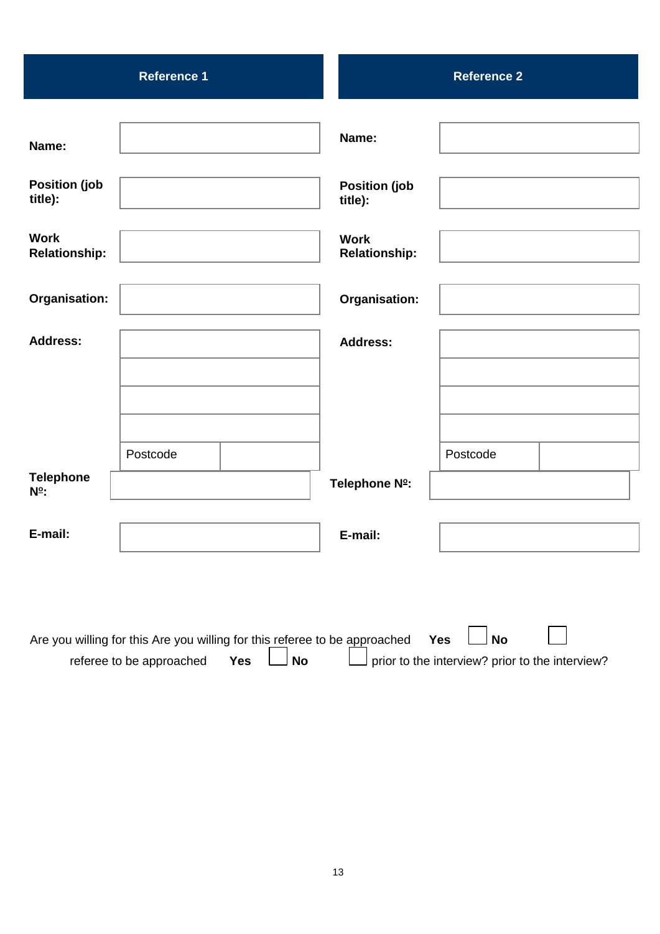|                                      | <b>Reference 1</b>                                                         |                                 | <b>Reference 2</b>                              |  |
|--------------------------------------|----------------------------------------------------------------------------|---------------------------------|-------------------------------------------------|--|
|                                      |                                                                            |                                 |                                                 |  |
| Name:                                |                                                                            | Name:                           |                                                 |  |
|                                      |                                                                            |                                 |                                                 |  |
| <b>Position (job</b><br>title):      |                                                                            | <b>Position (job</b><br>title): |                                                 |  |
| <b>Work</b>                          |                                                                            | <b>Work</b>                     |                                                 |  |
| <b>Relationship:</b>                 |                                                                            | <b>Relationship:</b>            |                                                 |  |
| Organisation:                        |                                                                            | <b>Organisation:</b>            |                                                 |  |
|                                      |                                                                            |                                 |                                                 |  |
| <b>Address:</b>                      |                                                                            | <b>Address:</b>                 |                                                 |  |
|                                      |                                                                            |                                 |                                                 |  |
|                                      |                                                                            |                                 |                                                 |  |
|                                      |                                                                            |                                 |                                                 |  |
|                                      | Postcode                                                                   |                                 | Postcode                                        |  |
| <b>Telephone</b><br>N <sup>o</sup> : |                                                                            | Telephone Nº:                   |                                                 |  |
|                                      |                                                                            |                                 |                                                 |  |
| E-mail:                              |                                                                            | E-mail:                         |                                                 |  |
|                                      |                                                                            |                                 |                                                 |  |
|                                      |                                                                            |                                 |                                                 |  |
|                                      | Are you willing for this Are you willing for this referee to be approached |                                 | <b>No</b><br><b>Yes</b>                         |  |
|                                      | No<br>referee to be approached<br><b>Yes</b>                               |                                 | prior to the interview? prior to the interview? |  |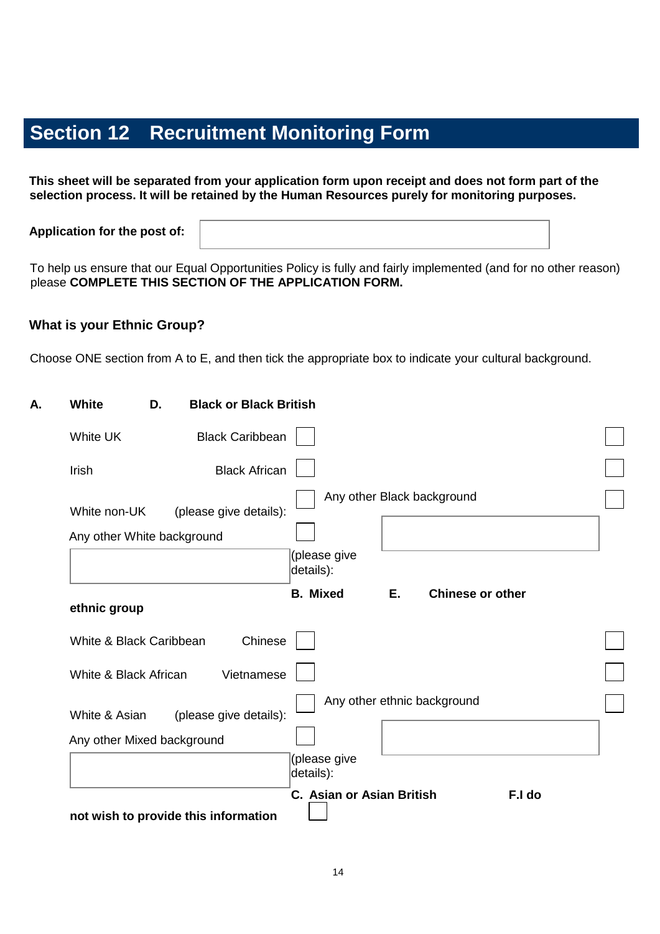## **Section 12 Recruitment Monitoring Form**

**This sheet will be separated from your application form upon receipt and does not form part of the selection process. It will be retained by the Human Resources purely for monitoring purposes.** 

**Application for the post of:** 

To help us ensure that our Equal Opportunities Policy is fully and fairly implemented (and for no other reason) please **COMPLETE THIS SECTION OF THE APPLICATION FORM.**

### **What is your Ethnic Group?**

Choose ONE section from A to E, and then tick the appropriate box to indicate your cultural background.

| <b>White</b>            | D.                                                   | <b>Black or Black British</b>                    |  |
|-------------------------|------------------------------------------------------|--------------------------------------------------|--|
| White UK                | <b>Black Caribbean</b>                               |                                                  |  |
| Irish                   | <b>Black African</b>                                 |                                                  |  |
| White non-UK            | (please give details):<br>Any other White background | Any other Black background                       |  |
|                         |                                                      | (please give<br>details):                        |  |
| ethnic group            |                                                      | <b>B.</b> Mixed<br>Е.<br><b>Chinese or other</b> |  |
| White & Black Caribbean |                                                      | Chinese                                          |  |
| White & Black African   |                                                      | Vietnamese                                       |  |
| White & Asian           | (please give details):                               | Any other ethnic background                      |  |
|                         | Any other Mixed background                           |                                                  |  |
|                         |                                                      | (please give<br>details):                        |  |
|                         | not wish to provide this information                 | C. Asian or Asian British<br>F.I do              |  |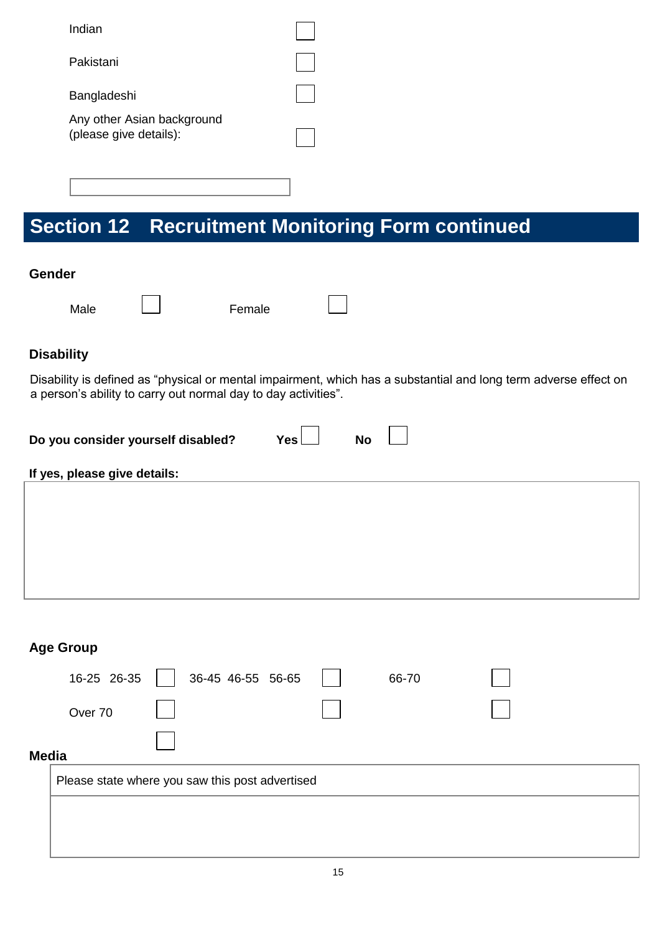| Indian                                               |  |
|------------------------------------------------------|--|
| Pakistani                                            |  |
| Bangladeshi                                          |  |
| Any other Asian background<br>(please give details): |  |
|                                                      |  |

# **Section 12 Recruitment Monitoring Form continued**

#### **Gender**

Male  $\Box$  Female

 $\overline{\phantom{0}}$ 

## **Disability**

Disability is defined as "physical or mental impairment, which has a substantial and long term adverse effect on a person's ability to carry out normal day to day activities".

| <b>No</b> | Yes | Do you consider yourself disabled? |
|-----------|-----|------------------------------------|
|-----------|-----|------------------------------------|

### **If yes, please give details:**

|              | <b>Age Group</b>                                |                   |  |       |  |  |  |  |  |
|--------------|-------------------------------------------------|-------------------|--|-------|--|--|--|--|--|
|              | 16-25 26-35                                     | 36-45 46-55 56-65 |  | 66-70 |  |  |  |  |  |
|              | Over 70                                         |                   |  |       |  |  |  |  |  |
| <b>Media</b> |                                                 |                   |  |       |  |  |  |  |  |
|              | Please state where you saw this post advertised |                   |  |       |  |  |  |  |  |
|              |                                                 |                   |  |       |  |  |  |  |  |
|              |                                                 |                   |  |       |  |  |  |  |  |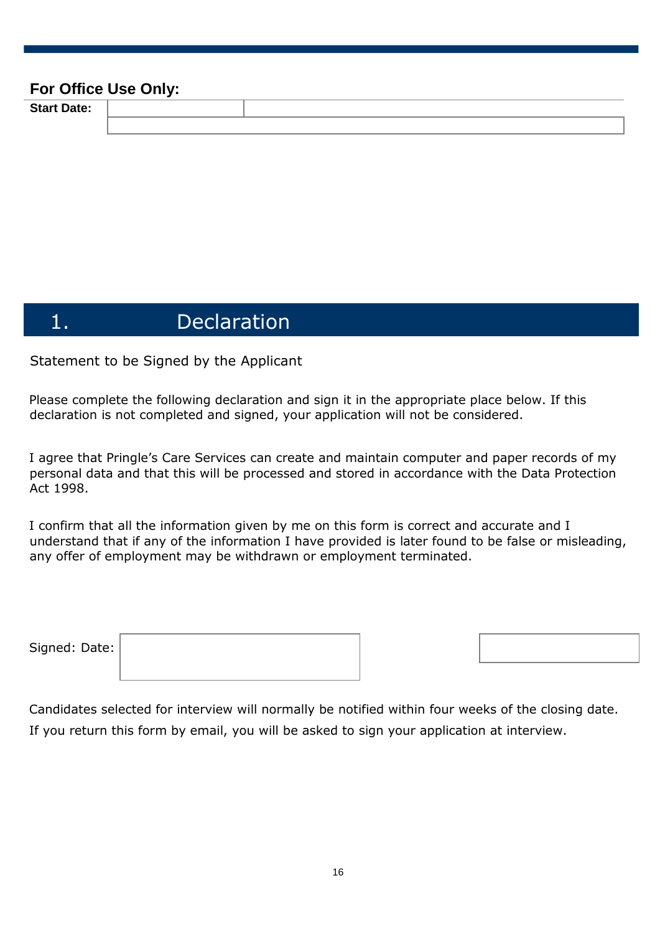### **For Office Use Only:**

**Start Date:** 

## 1. Declaration

Statement to be Signed by the Applicant

Please complete the following declaration and sign it in the appropriate place below. If this declaration is not completed and signed, your application will not be considered.

I agree that Pringle's Care Services can create and maintain computer and paper records of my personal data and that this will be processed and stored in accordance with the Data Protection Act 1998.

I confirm that all the information given by me on this form is correct and accurate and I understand that if any of the information I have provided is later found to be false or misleading, any offer of employment may be withdrawn or employment terminated.

| Signed: Date: |  |
|---------------|--|
|               |  |

Candidates selected for interview will normally be notified within four weeks of the closing date. If you return this form by email, you will be asked to sign your application at interview.